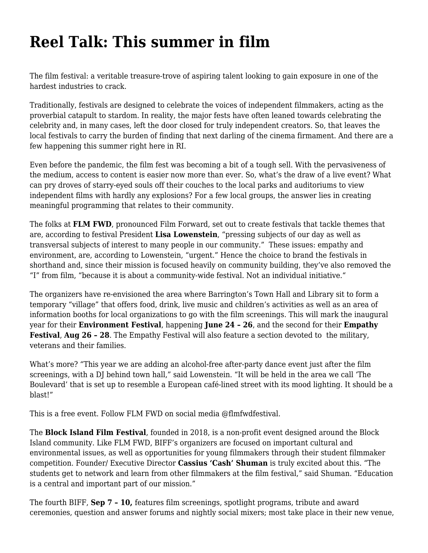## **[Reel Talk: This summer in film](https://motifri.com/reel-talk/)**

The film festival: a veritable treasure-trove of aspiring talent looking to gain exposure in one of the hardest industries to crack.

Traditionally, festivals are designed to celebrate the voices of independent filmmakers, acting as the proverbial catapult to stardom. In reality, the major fests have often leaned towards celebrating the celebrity and, in many cases, left the door closed for truly independent creators. So, that leaves the local festivals to carry the burden of finding that next darling of the cinema firmament. And there are a few happening this summer right here in RI.

Even before the pandemic, the film fest was becoming a bit of a tough sell. With the pervasiveness of the medium, access to content is easier now more than ever. So, what's the draw of a live event? What can pry droves of starry-eyed souls off their couches to the local parks and auditoriums to view independent films with hardly any explosions? For a few local groups, the answer lies in creating meaningful programming that relates to their community.

The folks at **[FLM FWD](https://flmfwdfestival.org/)**, pronounced Film Forward, set out to create festivals that tackle themes that are, according to festival President **Lisa Lowenstein**, "pressing subjects of our day as well as transversal subjects of interest to many people in our community." These issues: empathy and environment, are, according to Lowenstein, "urgent." Hence the choice to brand the festivals in shorthand and, since their mission is focused heavily on community building, they've also removed the "I" from film, "because it is about a community-wide festival. Not an individual initiative."

The organizers have re-envisioned the area where Barrington's Town Hall and Library sit to form a temporary "village" that offers food, drink, live music and children's activities as well as an area of information booths for local organizations to go with the film screenings. This will mark the inaugural year for their **Environment Festival**, happening **June 24 – 26**, and the second for their **Empathy Festival**, **Aug 26 – 28**. The Empathy Festival will also feature a section devoted to the military, veterans and their families.

What's more? *"*This year we are adding an alcohol-free after-party dance event just after the film screenings, with a DJ behind town hall," said Lowenstein. "It will be held in the area we call 'The Boulevard' that is set up to resemble a European café-lined street with its mood lighting. It should be a blast!"

This is a free event. Follow FLM FWD on social media [@flmfwdfestival](https://www.facebook.com/flmfwdfestival).

The **Block Island Film Festival**, founded in 2018, is a non-profit event designed around the Block Island community. Like FLM FWD, BIFF's organizers are focused on important cultural and environmental issues, as well as opportunities for young filmmakers through their student filmmaker competition. Founder/ Executive Director **Cassius 'Cash' Shuman** is truly excited about this. "The students get to network and learn from other filmmakers at the film festival," said Shuman. "Education is a central and important part of our mission."

The fourth BIFF, **Sep 7 – 10,** features film screenings, spotlight programs, tribute and award ceremonies, question and answer forums and nightly social mixers; most take place in their new venue,